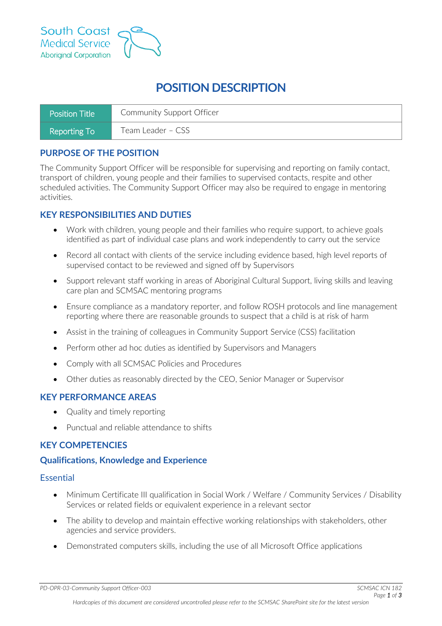

# **POSITION DESCRIPTION**

| Position Title | Community Support Officer |
|----------------|---------------------------|
| Reporting To   | Team Leader – CSS         |

# **PURPOSE OF THE POSITION**

The Community Support Officer will be responsible for supervising and reporting on family contact, transport of children, young people and their families to supervised contacts, respite and other scheduled activities. The Community Support Officer may also be required to engage in mentoring activities.

# **KEY RESPONSIBILITIES AND DUTIES**

- Work with children, young people and their families who require support, to achieve goals identified as part of individual case plans and work independently to carry out the service
- Record all contact with clients of the service including evidence based, high level reports of supervised contact to be reviewed and signed off by Supervisors
- Support relevant staff working in areas of Aboriginal Cultural Support, living skills and leaving care plan and SCMSAC mentoring programs
- Ensure compliance as a mandatory reporter, and follow ROSH protocols and line management reporting where there are reasonable grounds to suspect that a child is at risk of harm
- Assist in the training of colleagues in Community Support Service (CSS) facilitation
- Perform other ad hoc duties as identified by Supervisors and Managers
- Comply with all SCMSAC Policies and Procedures
- Other duties as reasonably directed by the CEO, Senior Manager or Supervisor

### **KEY PERFORMANCE AREAS**

- Quality and timely reporting
- Punctual and reliable attendance to shifts

# **KEY COMPETENCIES**

### **Qualifications, Knowledge and Experience**

#### **Essential**

- Minimum Certificate III qualification in Social Work / Welfare / Community Services / Disability Services or related fields or equivalent experience in a relevant sector
- The ability to develop and maintain effective working relationships with stakeholders, other agencies and service providers.
- Demonstrated computers skills, including the use of all Microsoft Office applications

*PD-OPR-03-Community Support Officer-003 SCMSAC ICN 182*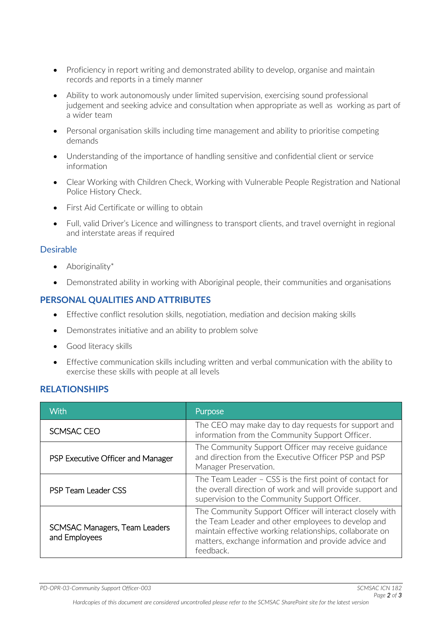- Proficiency in report writing and demonstrated ability to develop, organise and maintain records and reports in a timely manner
- Ability to work autonomously under limited supervision, exercising sound professional judgement and seeking advice and consultation when appropriate as well as working as part of a wider team
- Personal organisation skills including time management and ability to prioritise competing demands
- Understanding of the importance of handling sensitive and confidential client or service information
- Clear Working with Children Check, Working with Vulnerable People Registration and National Police History Check.
- First Aid Certificate or willing to obtain
- Full, valid Driver's Licence and willingness to transport clients, and travel overnight in regional and interstate areas if required

# Desirable

- Aboriginality\*
- Demonstrated ability in working with Aboriginal people, their communities and organisations

# **PERSONAL QUALITIES AND ATTRIBUTES**

- Effective conflict resolution skills, negotiation, mediation and decision making skills
- Demonstrates initiative and an ability to problem solve
- Good literacy skills
- Effective communication skills including written and verbal communication with the ability to exercise these skills with people at all levels

### **RELATIONSHIPS**

| With                                           | Purpose                                                                                                                                                                                                                                         |
|------------------------------------------------|-------------------------------------------------------------------------------------------------------------------------------------------------------------------------------------------------------------------------------------------------|
| SCMSAC CEO                                     | The CEO may make day to day requests for support and<br>information from the Community Support Officer.                                                                                                                                         |
| PSP Executive Officer and Manager              | The Community Support Officer may receive guidance<br>and direction from the Executive Officer PSP and PSP<br>Manager Preservation.                                                                                                             |
| <b>PSP Team Leader CSS</b>                     | The Team Leader - CSS is the first point of contact for<br>the overall direction of work and will provide support and<br>supervision to the Community Support Officer.                                                                          |
| SCMSAC Managers, Team Leaders<br>and Employees | The Community Support Officer will interact closely with<br>the Team Leader and other employees to develop and<br>maintain effective working relationships, collaborate on<br>matters, exchange information and provide advice and<br>feedback. |

*PD-OPR-03-Community Support Officer-003 SCMSAC ICN 182*